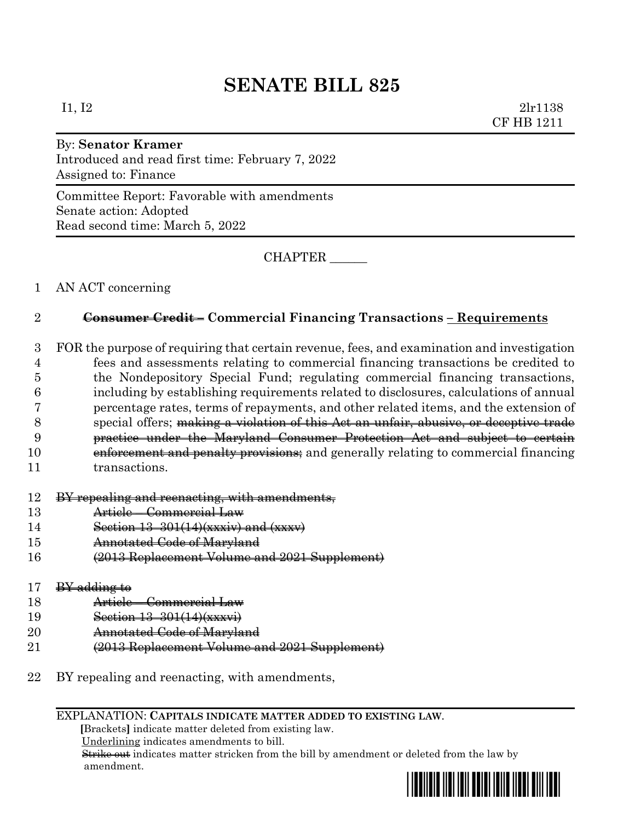# **SENATE BILL 825**

I1, I2 2lr1138 CF HB 1211

### By: **Senator Kramer**

Introduced and read first time: February 7, 2022 Assigned to: Finance

Committee Report: Favorable with amendments Senate action: Adopted Read second time: March 5, 2022

CHAPTER \_\_\_\_\_\_

### 1 AN ACT concerning

#### 2 **Consumer Credit – Commercial Financing Transactions – Requirements**

 FOR the purpose of requiring that certain revenue, fees, and examination and investigation fees and assessments relating to commercial financing transactions be credited to the Nondepository Special Fund; regulating commercial financing transactions, including by establishing requirements related to disclosures, calculations of annual percentage rates, terms of repayments, and other related items, and the extension of special offers; making a violation of this Act an unfair, abusive, or deceptive trade practice under the Maryland Consumer Protection Act and subject to certain 10 enforcement and penalty provisions; and generally relating to commercial financing transactions.

#### 12 BY repealing and reenacting, with amendments,

- 13 Article Commercial Law
- 14 Section 13–301(14)(xxxiv) and (xxxv)
- 15 Annotated Code of Maryland
- 16 (2013 Replacement Volume and 2021 Supplement)

#### $17$  BY adding to

- 18 Article Commercial Law
- 19 Section 13–301(14)(xxxvi)
- 20 **Annotated Code of Maryland**
- 21 (2013 Replacement Volume and 2021 Supplement)
- 22 BY repealing and reenacting, with amendments,

#### EXPLANATION: **CAPITALS INDICATE MATTER ADDED TO EXISTING LAW**.

 **[**Brackets**]** indicate matter deleted from existing law.

Underlining indicates amendments to bill.

 Strike out indicates matter stricken from the bill by amendment or deleted from the law by amendment.

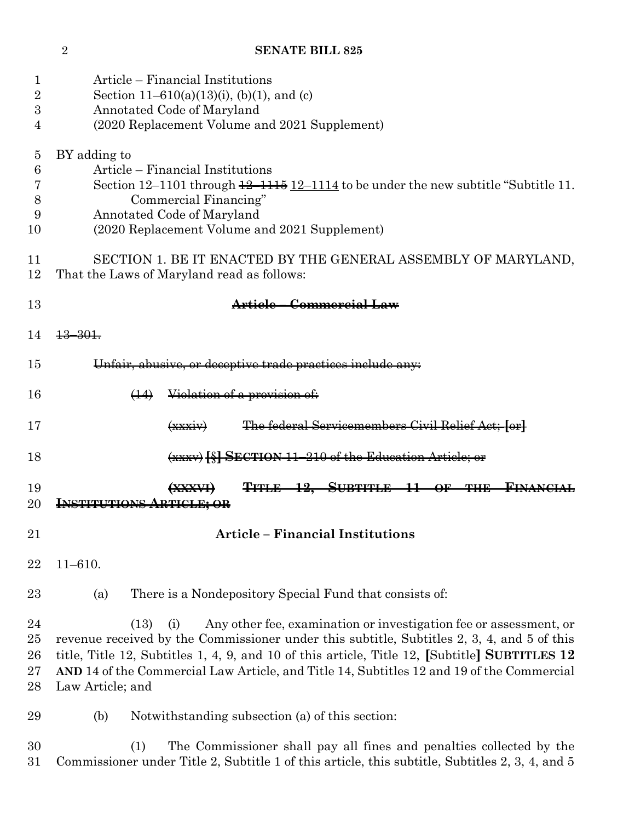## **SENATE BILL 825**

| $\mathbf 1$    | Article – Financial Institutions                                                                             |
|----------------|--------------------------------------------------------------------------------------------------------------|
| 2              | Section 11–610(a)(13)(i), (b)(1), and (c)                                                                    |
| 3              | Annotated Code of Maryland                                                                                   |
| 4              | (2020 Replacement Volume and 2021 Supplement)                                                                |
|                |                                                                                                              |
| $\overline{5}$ | BY adding to                                                                                                 |
| 6              | Article – Financial Institutions                                                                             |
| 7              | Section $12-1101$ through $\frac{12-1115}{2}$ $\frac{12-1114}{2}$ to be under the new subtitle "Subtitle 11. |
| 8              | Commercial Financing"                                                                                        |
| 9              | Annotated Code of Maryland                                                                                   |
| 10             | (2020 Replacement Volume and 2021 Supplement)                                                                |
|                |                                                                                                              |
| 11<br>12       | SECTION 1. BE IT ENACTED BY THE GENERAL ASSEMBLY OF MARYLAND,<br>That the Laws of Maryland read as follows:  |
| 13             | Article - Commercial Law                                                                                     |
|                |                                                                                                              |
| 14             | $+3-30+$                                                                                                     |
| 15             | Unfair, abusive, or deceptive trade practices include any:                                                   |
| 16             | Violation of a provision of:<br>$\leftrightarrow$                                                            |
| 17             | The federal Servicemembers Civil Relief Act; for<br>$(x \times x)$                                           |
| 18             | (xxxv) [§] SECTION 11-210 of the Education Article; or                                                       |
|                |                                                                                                              |
| 19             | TITLE 12, SUBTITLE 11 OF THE<br><del>FINANCI</del>                                                           |
| 20             | <b>INSTITUTIONS ARTICLE; OR</b>                                                                              |
|                |                                                                                                              |
| 21             | <b>Article - Financial Institutions</b>                                                                      |
| 22             | $11 - 610.$                                                                                                  |
| 23             | There is a Nondepository Special Fund that consists of:<br>(a)                                               |
|                |                                                                                                              |
| 24             | Any other fee, examination or investigation fee or assessment, or<br>(13)<br>(i)                             |
| 25             | revenue received by the Commissioner under this subtitle, Subtitles 2, 3, 4, and 5 of this                   |
| 26             | title, Title 12, Subtitles 1, 4, 9, and 10 of this article, Title 12, [Subtitle] SUBTITLES 12                |
| 27             | AND 14 of the Commercial Law Article, and Title 14, Subtitles 12 and 19 of the Commercial                    |
| 28             | Law Article; and                                                                                             |
| 29             | (b)<br>Notwithstanding subsection (a) of this section:                                                       |
| 30             | (1)<br>The Commissioner shall pay all fines and penalties collected by the                                   |
| 31             | Commissioner under Title 2, Subtitle 1 of this article, this subtitle, Subtitles 2, 3, 4, and 5              |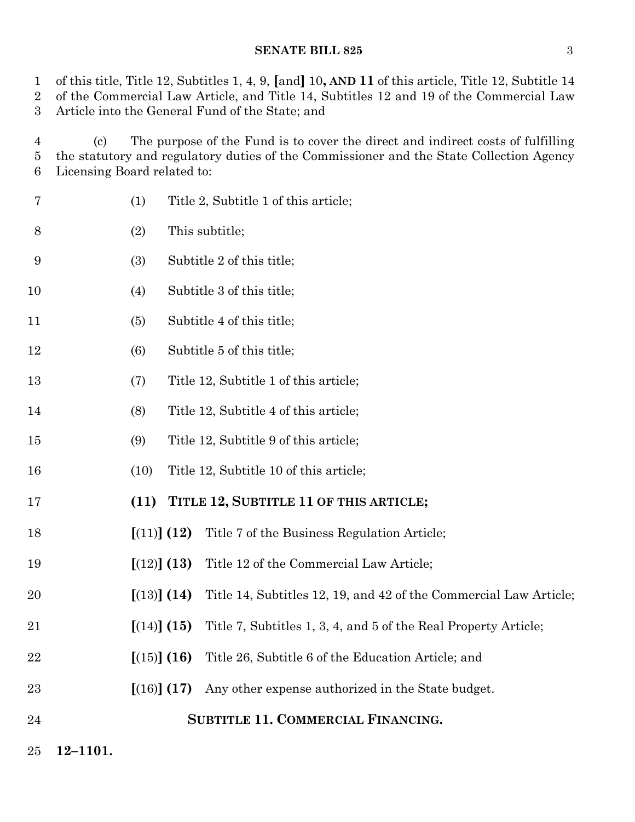of this title, Title 12, Subtitles 1, 4, 9, **[**and**]** 10**, AND 11** of this article, Title 12, Subtitle 14 of the Commercial Law Article, and Title 14, Subtitles 12 and 19 of the Commercial Law

Article into the General Fund of the State; and

 (c) The purpose of the Fund is to cover the direct and indirect costs of fulfilling the statutory and regulatory duties of the Commissioner and the State Collection Agency Licensing Board related to:

- (1) Title 2, Subtitle 1 of this article; (2) This subtitle; (3) Subtitle 2 of this title; 10 (4) Subtitle 3 of this title; 11 (5) Subtitle 4 of this title; (6) Subtitle 5 of this title; (7) Title 12, Subtitle 1 of this article; (8) Title 12, Subtitle 4 of this article; (9) Title 12, Subtitle 9 of this article; (10) Title 12, Subtitle 10 of this article; **(11) TITLE 12, SUBTITLE 11 OF THIS ARTICLE; [**(11)**] (12)** Title 7 of the Business Regulation Article; **[**(12)**] (13)** Title 12 of the Commercial Law Article; **[**(13)**] (14)** Title 14, Subtitles 12, 19, and 42 of the Commercial Law Article; **[**(14)**] (15)** Title 7, Subtitles 1, 3, 4, and 5 of the Real Property Article; **[**(15)**] (16)** Title 26, Subtitle 6 of the Education Article; and **[**(16)**] (17)** Any other expense authorized in the State budget. **SUBTITLE 11. COMMERCIAL FINANCING.**
- **12–1101.**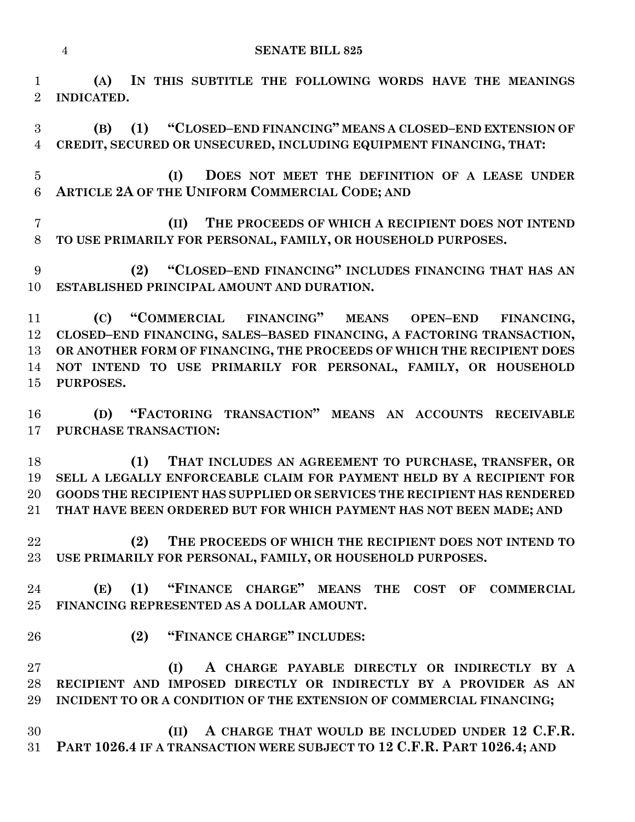**(A) IN THIS SUBTITLE THE FOLLOWING WORDS HAVE THE MEANINGS INDICATED.**

 **(B) (1) "CLOSED–END FINANCING" MEANS A CLOSED–END EXTENSION OF CREDIT, SECURED OR UNSECURED, INCLUDING EQUIPMENT FINANCING, THAT:**

 **(I) DOES NOT MEET THE DEFINITION OF A LEASE UNDER ARTICLE 2A OF THE UNIFORM COMMERCIAL CODE; AND**

 **(II) THE PROCEEDS OF WHICH A RECIPIENT DOES NOT INTEND TO USE PRIMARILY FOR PERSONAL, FAMILY, OR HOUSEHOLD PURPOSES.**

 **(2) "CLOSED–END FINANCING" INCLUDES FINANCING THAT HAS AN ESTABLISHED PRINCIPAL AMOUNT AND DURATION.**

 **(C) "COMMERCIAL FINANCING" MEANS OPEN–END FINANCING, CLOSED–END FINANCING, SALES–BASED FINANCING, A FACTORING TRANSACTION, OR ANOTHER FORM OF FINANCING, THE PROCEEDS OF WHICH THE RECIPIENT DOES NOT INTEND TO USE PRIMARILY FOR PERSONAL, FAMILY, OR HOUSEHOLD PURPOSES.**

 **(D) "FACTORING TRANSACTION" MEANS AN ACCOUNTS RECEIVABLE PURCHASE TRANSACTION:**

 **(1) THAT INCLUDES AN AGREEMENT TO PURCHASE, TRANSFER, OR SELL A LEGALLY ENFORCEABLE CLAIM FOR PAYMENT HELD BY A RECIPIENT FOR GOODS THE RECIPIENT HAS SUPPLIED OR SERVICES THE RECIPIENT HAS RENDERED THAT HAVE BEEN ORDERED BUT FOR WHICH PAYMENT HAS NOT BEEN MADE; AND**

 **(2) THE PROCEEDS OF WHICH THE RECIPIENT DOES NOT INTEND TO USE PRIMARILY FOR PERSONAL, FAMILY, OR HOUSEHOLD PURPOSES.**

 **(E) (1) "FINANCE CHARGE" MEANS THE COST OF COMMERCIAL FINANCING REPRESENTED AS A DOLLAR AMOUNT.**

**(2) "FINANCE CHARGE" INCLUDES:**

 **(I) A CHARGE PAYABLE DIRECTLY OR INDIRECTLY BY A RECIPIENT AND IMPOSED DIRECTLY OR INDIRECTLY BY A PROVIDER AS AN INCIDENT TO OR A CONDITION OF THE EXTENSION OF COMMERCIAL FINANCING;**

 **(II) A CHARGE THAT WOULD BE INCLUDED UNDER 12 C.F.R. PART 1026.4 IF A TRANSACTION WERE SUBJECT TO 12 C.F.R. PART 1026.4; AND**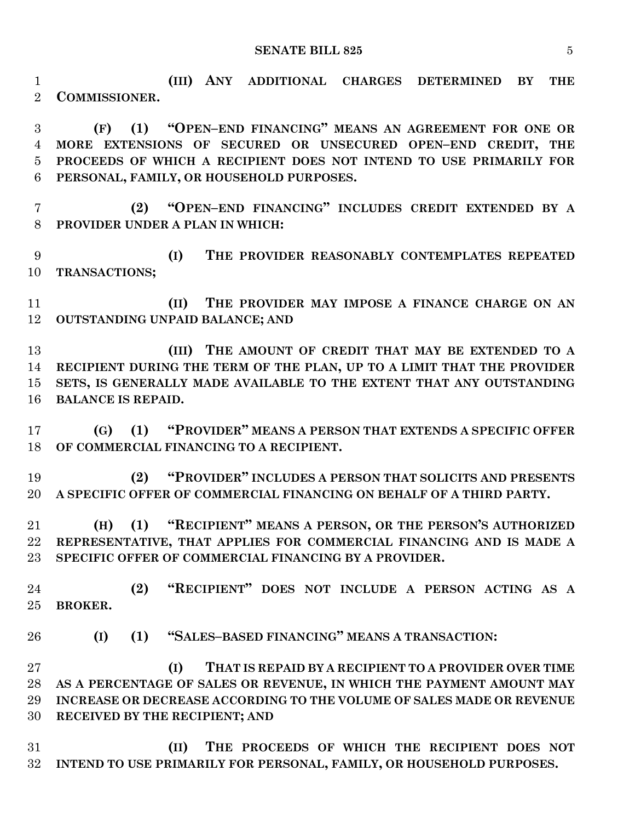**(III) ANY ADDITIONAL CHARGES DETERMINED BY THE COMMISSIONER.**

 **(F) (1) "OPEN–END FINANCING" MEANS AN AGREEMENT FOR ONE OR MORE EXTENSIONS OF SECURED OR UNSECURED OPEN–END CREDIT, THE PROCEEDS OF WHICH A RECIPIENT DOES NOT INTEND TO USE PRIMARILY FOR PERSONAL, FAMILY, OR HOUSEHOLD PURPOSES.**

 **(2) "OPEN–END FINANCING" INCLUDES CREDIT EXTENDED BY A PROVIDER UNDER A PLAN IN WHICH:**

 **(I) THE PROVIDER REASONABLY CONTEMPLATES REPEATED TRANSACTIONS;**

 **(II) THE PROVIDER MAY IMPOSE A FINANCE CHARGE ON AN OUTSTANDING UNPAID BALANCE; AND**

 **(III) THE AMOUNT OF CREDIT THAT MAY BE EXTENDED TO A RECIPIENT DURING THE TERM OF THE PLAN, UP TO A LIMIT THAT THE PROVIDER SETS, IS GENERALLY MADE AVAILABLE TO THE EXTENT THAT ANY OUTSTANDING BALANCE IS REPAID.**

 **(G) (1) "PROVIDER" MEANS A PERSON THAT EXTENDS A SPECIFIC OFFER OF COMMERCIAL FINANCING TO A RECIPIENT.**

 **(2) "PROVIDER" INCLUDES A PERSON THAT SOLICITS AND PRESENTS A SPECIFIC OFFER OF COMMERCIAL FINANCING ON BEHALF OF A THIRD PARTY.**

 **(H) (1) "RECIPIENT" MEANS A PERSON, OR THE PERSON'S AUTHORIZED REPRESENTATIVE, THAT APPLIES FOR COMMERCIAL FINANCING AND IS MADE A SPECIFIC OFFER OF COMMERCIAL FINANCING BY A PROVIDER.**

 **(2) "RECIPIENT" DOES NOT INCLUDE A PERSON ACTING AS A BROKER.**

**(I) (1) "SALES–BASED FINANCING" MEANS A TRANSACTION:**

 **(I) THAT IS REPAID BY A RECIPIENT TO A PROVIDER OVER TIME AS A PERCENTAGE OF SALES OR REVENUE, IN WHICH THE PAYMENT AMOUNT MAY INCREASE OR DECREASE ACCORDING TO THE VOLUME OF SALES MADE OR REVENUE RECEIVED BY THE RECIPIENT; AND**

 **(II) THE PROCEEDS OF WHICH THE RECIPIENT DOES NOT INTEND TO USE PRIMARILY FOR PERSONAL, FAMILY, OR HOUSEHOLD PURPOSES.**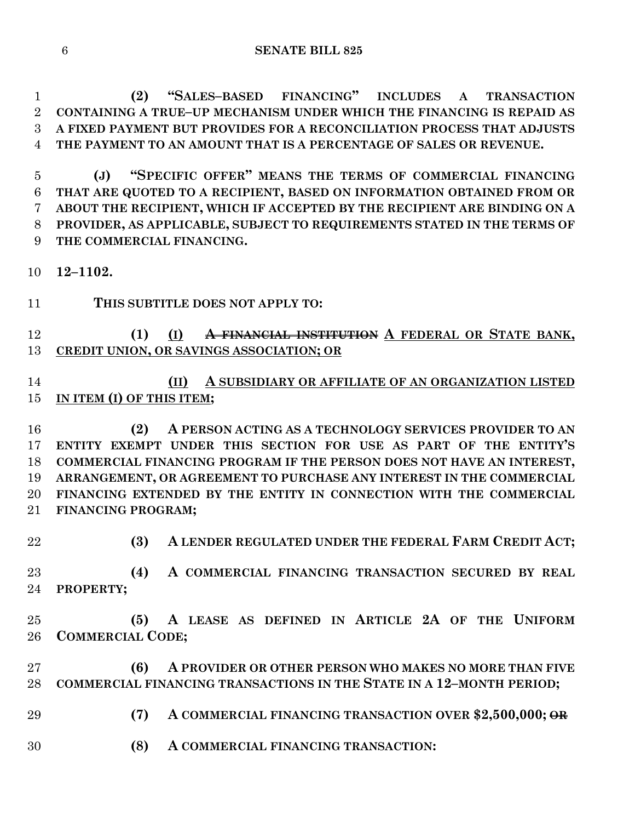**(2) "SALES–BASED FINANCING" INCLUDES A TRANSACTION CONTAINING A TRUE–UP MECHANISM UNDER WHICH THE FINANCING IS REPAID AS A FIXED PAYMENT BUT PROVIDES FOR A RECONCILIATION PROCESS THAT ADJUSTS THE PAYMENT TO AN AMOUNT THAT IS A PERCENTAGE OF SALES OR REVENUE.**

 **(J) "SPECIFIC OFFER" MEANS THE TERMS OF COMMERCIAL FINANCING THAT ARE QUOTED TO A RECIPIENT, BASED ON INFORMATION OBTAINED FROM OR ABOUT THE RECIPIENT, WHICH IF ACCEPTED BY THE RECIPIENT ARE BINDING ON A PROVIDER, AS APPLICABLE, SUBJECT TO REQUIREMENTS STATED IN THE TERMS OF THE COMMERCIAL FINANCING.**

**12–1102.**

**THIS SUBTITLE DOES NOT APPLY TO:**

## **(1) (I) A FINANCIAL INSTITUTION A FEDERAL OR STATE BANK, CREDIT UNION, OR SAVINGS ASSOCIATION; OR**

## **(II) A SUBSIDIARY OR AFFILIATE OF AN ORGANIZATION LISTED IN ITEM (I) OF THIS ITEM;**

 **(2) A PERSON ACTING AS A TECHNOLOGY SERVICES PROVIDER TO AN ENTITY EXEMPT UNDER THIS SECTION FOR USE AS PART OF THE ENTITY'S COMMERCIAL FINANCING PROGRAM IF THE PERSON DOES NOT HAVE AN INTEREST, ARRANGEMENT, OR AGREEMENT TO PURCHASE ANY INTEREST IN THE COMMERCIAL FINANCING EXTENDED BY THE ENTITY IN CONNECTION WITH THE COMMERCIAL FINANCING PROGRAM;**

- 
- **(3) A LENDER REGULATED UNDER THE FEDERAL FARM CREDIT ACT;**

 **(4) A COMMERCIAL FINANCING TRANSACTION SECURED BY REAL PROPERTY;**

- **(5) A LEASE AS DEFINED IN ARTICLE 2A OF THE UNIFORM COMMERCIAL CODE;**
- **(6) A PROVIDER OR OTHER PERSON WHO MAKES NO MORE THAN FIVE COMMERCIAL FINANCING TRANSACTIONS IN THE STATE IN A 12–MONTH PERIOD;**
- **(7) A COMMERCIAL FINANCING TRANSACTION OVER \$2,500,000; OR**
- **(8) A COMMERCIAL FINANCING TRANSACTION:**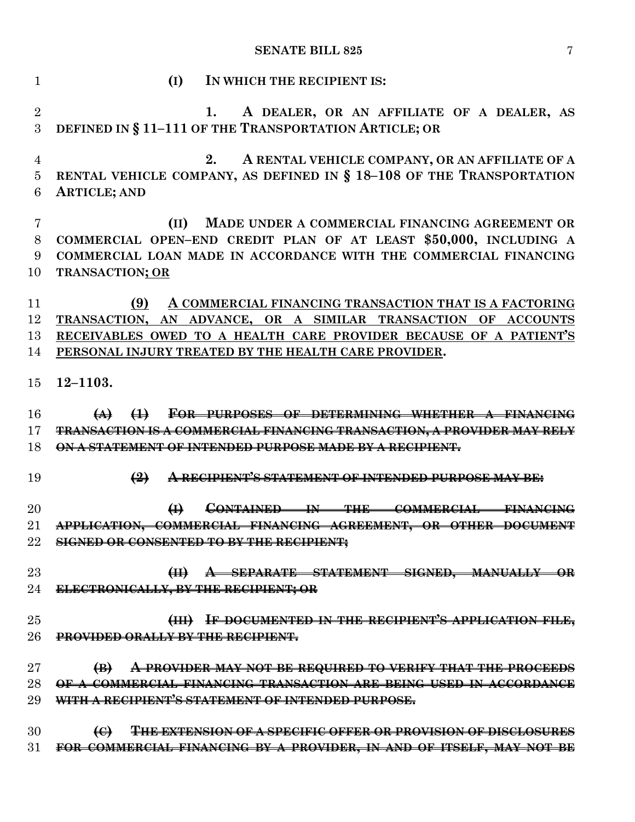| $\mathbf{1}$   | (I)<br>IN WHICH THE RECIPIENT IS:                                                                                           |
|----------------|-----------------------------------------------------------------------------------------------------------------------------|
| $\sqrt{2}$     | A DEALER, OR AN AFFILIATE OF A DEALER, AS<br>1.                                                                             |
| 3              | DEFINED IN § 11-111 OF THE TRANSPORTATION ARTICLE; OR                                                                       |
| $\overline{4}$ | A RENTAL VEHICLE COMPANY, OR AN AFFILIATE OF A<br>2.                                                                        |
| $\bf 5$        | RENTAL VEHICLE COMPANY, AS DEFINED IN § 18-108 OF THE TRANSPORTATION                                                        |
| 6              | <b>ARTICLE; AND</b>                                                                                                         |
|                |                                                                                                                             |
| 7<br>8         | MADE UNDER A COMMERCIAL FINANCING AGREEMENT OR<br>(II)<br>COMMERCIAL OPEN-END CREDIT PLAN OF AT LEAST \$50,000, INCLUDING A |
| 9              | COMMERCIAL LOAN MADE IN ACCORDANCE WITH THE COMMERCIAL FINANCING                                                            |
| 10             | <b>TRANSACTION; OR</b>                                                                                                      |
|                |                                                                                                                             |
| 11             | (9)<br>A COMMERCIAL FINANCING TRANSACTION THAT IS A FACTORING                                                               |
| 12             | TRANSACTION, AN ADVANCE, OR A SIMILAR TRANSACTION OF ACCOUNTS                                                               |
| 13             | RECEIVABLES OWED TO A HEALTH CARE PROVIDER BECAUSE OF A PATIENT'S                                                           |
| 14             | PERSONAL INJURY TREATED BY THE HEALTH CARE PROVIDER.                                                                        |
| 15             | $12 - 1103.$                                                                                                                |
| 16             | FOR PURPOSES OF DETERMINING WHETHER A FINANCING                                                                             |
| 17             | <b>TRANSACTION IS A COMMERCIAL FINANCING TRANSACTION, A PROVIDER MAY RELY</b>                                               |
| 18             | <u>ON A STATEMENT OF INTENDED PURPOSE MADE BY A RECIPIENT.</u>                                                              |
|                |                                                                                                                             |
| 19             | $\left(\frac{9}{2}\right)$<br>A RECIPIENT'S STATEMENT OF INTENDED PURPOSE MAY BE.                                           |
| 20             | $\bigoplus$<br><del>CONTAINED</del><br>$+$<br><b>THE</b><br><b>COMMERCIAL</b><br><del>FINA!</del>                           |
| 21             | APPLICATION, COMMERCIAL FINANCING AGREEMENT, OR OTHER DOCUMEN                                                               |
| 22             | <b>SIGNED OR CONSENTED TO BY THE RECIPIENT;</b>                                                                             |
|                |                                                                                                                             |
| 23             | (II) A SEPARATE STATEMENT SIGNED, MANUALLY OR                                                                               |
| 24             | ELECTRONICALLY, BY THE RECIPIENT; OR                                                                                        |
| 25             | (III) IF DOCUMENTED IN THE RECIPIENT'S APPLICATION FILE,                                                                    |
| 26             | <b>PROVIDED ORALLY BY THE RECIPIENT.</b>                                                                                    |
|                |                                                                                                                             |
| 27             | $\bigoplus$<br>A PROVIDER MAY NOT BE REQUIRED TO VERIFY THAT THE PROCEEDS                                                   |
| 28             | OF A COMMERCIAL FINANCING TRANSACTION ARE BEING USED IN ACCORDANCE                                                          |
| 29             | WITH A RECIPIENT'S STATEMENT OF INTENDED PURPOSE.                                                                           |
|                |                                                                                                                             |
| 30             | <b>THE EXTENSION OF A SPECIFIC OFFER OR PROVISION OF DISCLOSURES</b><br>$\Theta$                                            |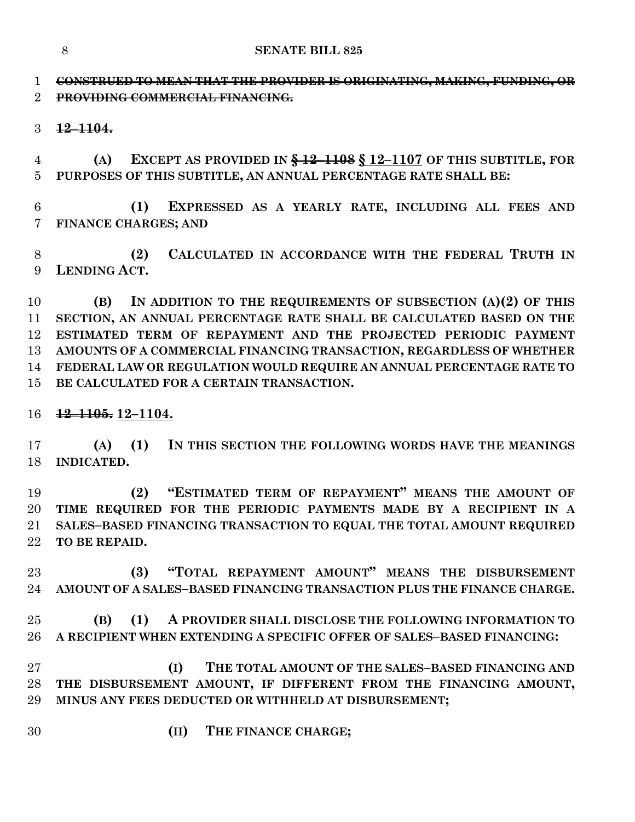**SENATE BILL 825**

 **CONSTRUED TO MEAN THAT THE PROVIDER IS ORIGINATING, MAKING, FUNDING, OR PROVIDING COMMERCIAL FINANCING.**

**12–1104.**

 **(A) EXCEPT AS PROVIDED IN § 12–1108 § 12–1107 OF THIS SUBTITLE, FOR PURPOSES OF THIS SUBTITLE, AN ANNUAL PERCENTAGE RATE SHALL BE:**

 **(1) EXPRESSED AS A YEARLY RATE, INCLUDING ALL FEES AND FINANCE CHARGES; AND**

 **(2) CALCULATED IN ACCORDANCE WITH THE FEDERAL TRUTH IN LENDING ACT.**

 **(B) IN ADDITION TO THE REQUIREMENTS OF SUBSECTION (A)(2) OF THIS SECTION, AN ANNUAL PERCENTAGE RATE SHALL BE CALCULATED BASED ON THE ESTIMATED TERM OF REPAYMENT AND THE PROJECTED PERIODIC PAYMENT AMOUNTS OF A COMMERCIAL FINANCING TRANSACTION, REGARDLESS OF WHETHER FEDERAL LAW OR REGULATION WOULD REQUIRE AN ANNUAL PERCENTAGE RATE TO BE CALCULATED FOR A CERTAIN TRANSACTION.**

**12–1105. 12–1104.**

 **(A) (1) IN THIS SECTION THE FOLLOWING WORDS HAVE THE MEANINGS INDICATED.**

 **(2) "ESTIMATED TERM OF REPAYMENT" MEANS THE AMOUNT OF TIME REQUIRED FOR THE PERIODIC PAYMENTS MADE BY A RECIPIENT IN A SALES–BASED FINANCING TRANSACTION TO EQUAL THE TOTAL AMOUNT REQUIRED TO BE REPAID.**

 **(3) "TOTAL REPAYMENT AMOUNT" MEANS THE DISBURSEMENT AMOUNT OF A SALES–BASED FINANCING TRANSACTION PLUS THE FINANCE CHARGE.**

 **(B) (1) A PROVIDER SHALL DISCLOSE THE FOLLOWING INFORMATION TO A RECIPIENT WHEN EXTENDING A SPECIFIC OFFER OF SALES–BASED FINANCING:**

 **(I) THE TOTAL AMOUNT OF THE SALES–BASED FINANCING AND THE DISBURSEMENT AMOUNT, IF DIFFERENT FROM THE FINANCING AMOUNT, MINUS ANY FEES DEDUCTED OR WITHHELD AT DISBURSEMENT;**

**(II) THE FINANCE CHARGE;**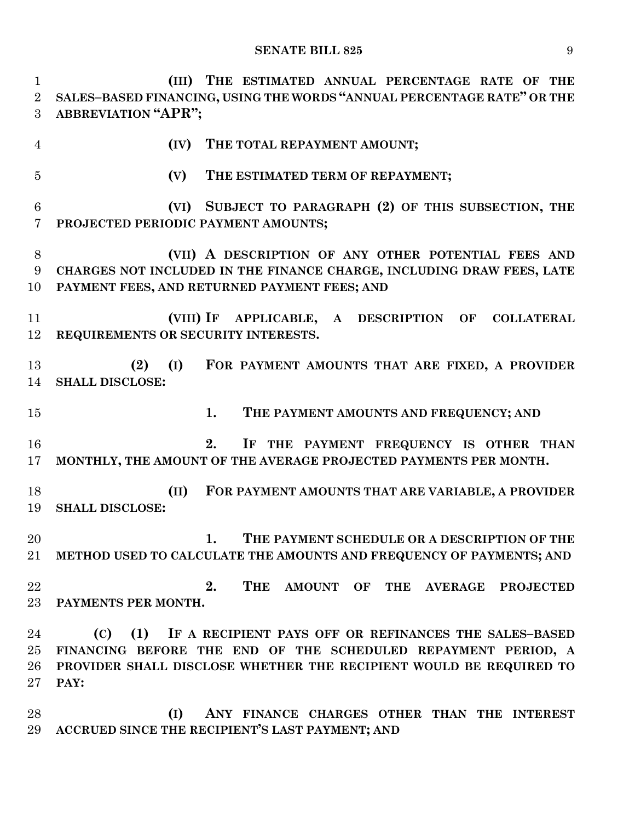**(III) THE ESTIMATED ANNUAL PERCENTAGE RATE OF THE SALES–BASED FINANCING, USING THE WORDS "ANNUAL PERCENTAGE RATE" OR THE ABBREVIATION "APR"; (IV) THE TOTAL REPAYMENT AMOUNT; (V) THE ESTIMATED TERM OF REPAYMENT; (VI) SUBJECT TO PARAGRAPH (2) OF THIS SUBSECTION, THE PROJECTED PERIODIC PAYMENT AMOUNTS; (VII) A DESCRIPTION OF ANY OTHER POTENTIAL FEES AND CHARGES NOT INCLUDED IN THE FINANCE CHARGE, INCLUDING DRAW FEES, LATE PAYMENT FEES, AND RETURNED PAYMENT FEES; AND (VIII) IF APPLICABLE, A DESCRIPTION OF COLLATERAL REQUIREMENTS OR SECURITY INTERESTS. (2) (I) FOR PAYMENT AMOUNTS THAT ARE FIXED, A PROVIDER SHALL DISCLOSE: 1. THE PAYMENT AMOUNTS AND FREQUENCY; AND 2. IF THE PAYMENT FREQUENCY IS OTHER THAN MONTHLY, THE AMOUNT OF THE AVERAGE PROJECTED PAYMENTS PER MONTH. (II) FOR PAYMENT AMOUNTS THAT ARE VARIABLE, A PROVIDER SHALL DISCLOSE: 1. THE PAYMENT SCHEDULE OR A DESCRIPTION OF THE METHOD USED TO CALCULATE THE AMOUNTS AND FREQUENCY OF PAYMENTS; AND 2. THE AMOUNT OF THE AVERAGE PROJECTED PAYMENTS PER MONTH. (C) (1) IF A RECIPIENT PAYS OFF OR REFINANCES THE SALES–BASED FINANCING BEFORE THE END OF THE SCHEDULED REPAYMENT PERIOD, A PROVIDER SHALL DISCLOSE WHETHER THE RECIPIENT WOULD BE REQUIRED TO PAY: (I) ANY FINANCE CHARGES OTHER THAN THE INTEREST ACCRUED SINCE THE RECIPIENT'S LAST PAYMENT; AND**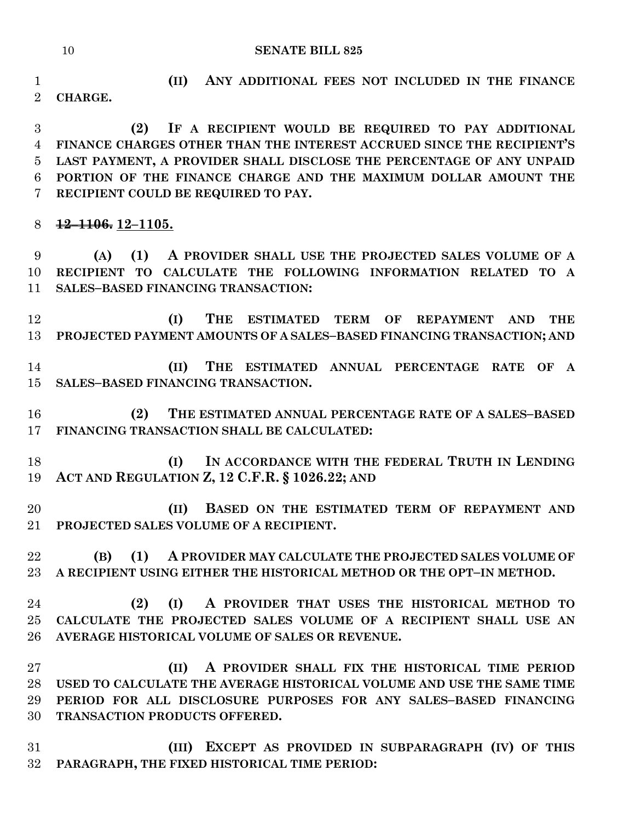**(II) ANY ADDITIONAL FEES NOT INCLUDED IN THE FINANCE CHARGE.**

 **(2) IF A RECIPIENT WOULD BE REQUIRED TO PAY ADDITIONAL FINANCE CHARGES OTHER THAN THE INTEREST ACCRUED SINCE THE RECIPIENT'S LAST PAYMENT, A PROVIDER SHALL DISCLOSE THE PERCENTAGE OF ANY UNPAID PORTION OF THE FINANCE CHARGE AND THE MAXIMUM DOLLAR AMOUNT THE RECIPIENT COULD BE REQUIRED TO PAY.**

**12–1106. 12–1105.**

 **(A) (1) A PROVIDER SHALL USE THE PROJECTED SALES VOLUME OF A RECIPIENT TO CALCULATE THE FOLLOWING INFORMATION RELATED TO A SALES–BASED FINANCING TRANSACTION:**

 **(I) THE ESTIMATED TERM OF REPAYMENT AND THE PROJECTED PAYMENT AMOUNTS OF A SALES–BASED FINANCING TRANSACTION; AND**

 **(II) THE ESTIMATED ANNUAL PERCENTAGE RATE OF A SALES–BASED FINANCING TRANSACTION.**

 **(2) THE ESTIMATED ANNUAL PERCENTAGE RATE OF A SALES–BASED FINANCING TRANSACTION SHALL BE CALCULATED:**

 **(I) IN ACCORDANCE WITH THE FEDERAL TRUTH IN LENDING ACT AND REGULATION Z, 12 C.F.R. § 1026.22; AND**

 **(II) BASED ON THE ESTIMATED TERM OF REPAYMENT AND PROJECTED SALES VOLUME OF A RECIPIENT.**

 **(B) (1) A PROVIDER MAY CALCULATE THE PROJECTED SALES VOLUME OF A RECIPIENT USING EITHER THE HISTORICAL METHOD OR THE OPT–IN METHOD.**

 **(2) (I) A PROVIDER THAT USES THE HISTORICAL METHOD TO CALCULATE THE PROJECTED SALES VOLUME OF A RECIPIENT SHALL USE AN AVERAGE HISTORICAL VOLUME OF SALES OR REVENUE.**

 **(II) A PROVIDER SHALL FIX THE HISTORICAL TIME PERIOD USED TO CALCULATE THE AVERAGE HISTORICAL VOLUME AND USE THE SAME TIME PERIOD FOR ALL DISCLOSURE PURPOSES FOR ANY SALES–BASED FINANCING TRANSACTION PRODUCTS OFFERED.**

 **(III) EXCEPT AS PROVIDED IN SUBPARAGRAPH (IV) OF THIS PARAGRAPH, THE FIXED HISTORICAL TIME PERIOD:**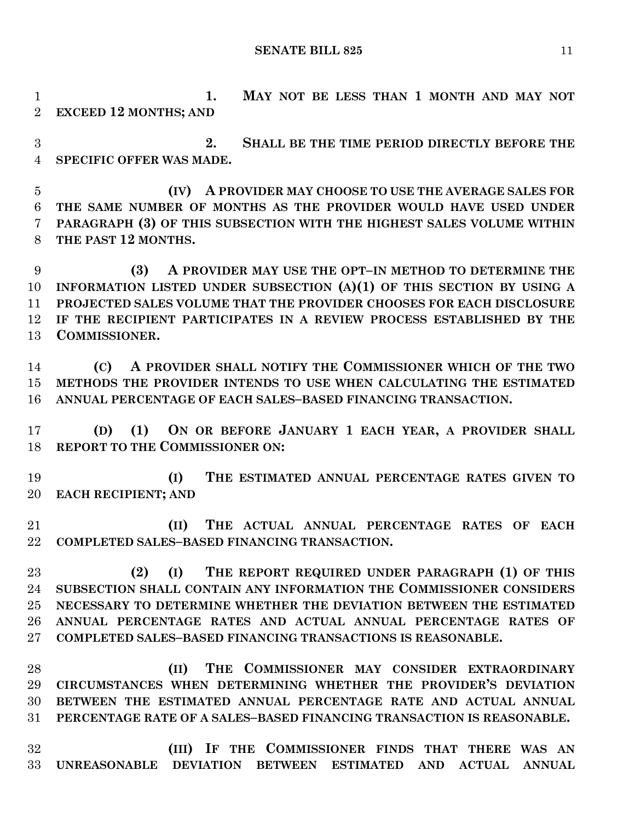**1. MAY NOT BE LESS THAN 1 MONTH AND MAY NOT EXCEED 12 MONTHS; AND**

 **2. SHALL BE THE TIME PERIOD DIRECTLY BEFORE THE SPECIFIC OFFER WAS MADE.**

 **(IV) A PROVIDER MAY CHOOSE TO USE THE AVERAGE SALES FOR THE SAME NUMBER OF MONTHS AS THE PROVIDER WOULD HAVE USED UNDER PARAGRAPH (3) OF THIS SUBSECTION WITH THE HIGHEST SALES VOLUME WITHIN THE PAST 12 MONTHS.**

 **(3) A PROVIDER MAY USE THE OPT–IN METHOD TO DETERMINE THE INFORMATION LISTED UNDER SUBSECTION (A)(1) OF THIS SECTION BY USING A PROJECTED SALES VOLUME THAT THE PROVIDER CHOOSES FOR EACH DISCLOSURE IF THE RECIPIENT PARTICIPATES IN A REVIEW PROCESS ESTABLISHED BY THE COMMISSIONER.**

 **(C) A PROVIDER SHALL NOTIFY THE COMMISSIONER WHICH OF THE TWO METHODS THE PROVIDER INTENDS TO USE WHEN CALCULATING THE ESTIMATED ANNUAL PERCENTAGE OF EACH SALES–BASED FINANCING TRANSACTION.**

 **(D) (1) ON OR BEFORE JANUARY 1 EACH YEAR, A PROVIDER SHALL REPORT TO THE COMMISSIONER ON:**

 **(I) THE ESTIMATED ANNUAL PERCENTAGE RATES GIVEN TO EACH RECIPIENT; AND**

 **(II) THE ACTUAL ANNUAL PERCENTAGE RATES OF EACH COMPLETED SALES–BASED FINANCING TRANSACTION.**

 **(2) (I) THE REPORT REQUIRED UNDER PARAGRAPH (1) OF THIS SUBSECTION SHALL CONTAIN ANY INFORMATION THE COMMISSIONER CONSIDERS NECESSARY TO DETERMINE WHETHER THE DEVIATION BETWEEN THE ESTIMATED ANNUAL PERCENTAGE RATES AND ACTUAL ANNUAL PERCENTAGE RATES OF COMPLETED SALES–BASED FINANCING TRANSACTIONS IS REASONABLE.**

 **(II) THE COMMISSIONER MAY CONSIDER EXTRAORDINARY CIRCUMSTANCES WHEN DETERMINING WHETHER THE PROVIDER'S DEVIATION BETWEEN THE ESTIMATED ANNUAL PERCENTAGE RATE AND ACTUAL ANNUAL PERCENTAGE RATE OF A SALES–BASED FINANCING TRANSACTION IS REASONABLE.**

 **(III) IF THE COMMISSIONER FINDS THAT THERE WAS AN UNREASONABLE DEVIATION BETWEEN ESTIMATED AND ACTUAL ANNUAL**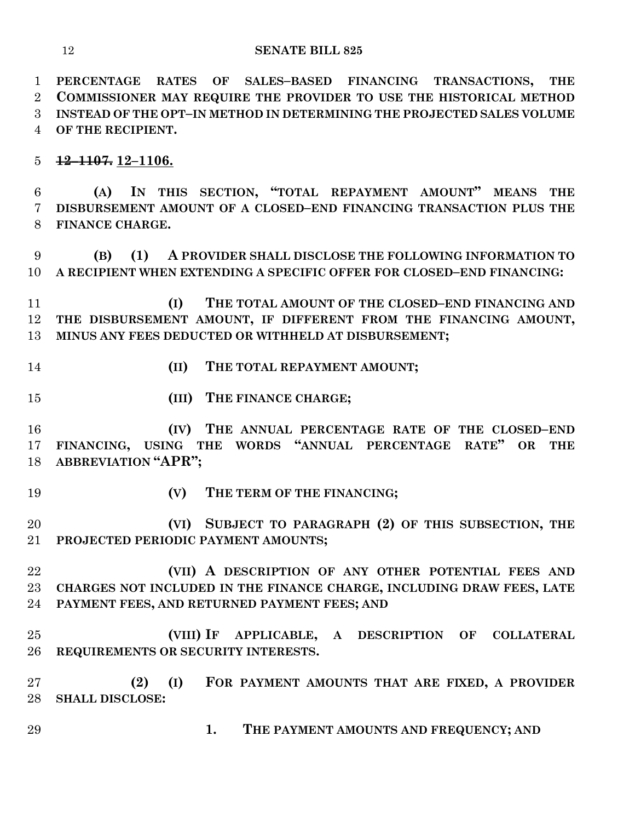**PERCENTAGE RATES OF SALES–BASED FINANCING TRANSACTIONS, THE COMMISSIONER MAY REQUIRE THE PROVIDER TO USE THE HISTORICAL METHOD INSTEAD OF THE OPT–IN METHOD IN DETERMINING THE PROJECTED SALES VOLUME OF THE RECIPIENT.**

**12–1107. 12–1106.**

 **(A) IN THIS SECTION, "TOTAL REPAYMENT AMOUNT" MEANS THE DISBURSEMENT AMOUNT OF A CLOSED–END FINANCING TRANSACTION PLUS THE FINANCE CHARGE.**

 **(B) (1) A PROVIDER SHALL DISCLOSE THE FOLLOWING INFORMATION TO A RECIPIENT WHEN EXTENDING A SPECIFIC OFFER FOR CLOSED–END FINANCING:**

 **(I) THE TOTAL AMOUNT OF THE CLOSED–END FINANCING AND THE DISBURSEMENT AMOUNT, IF DIFFERENT FROM THE FINANCING AMOUNT, MINUS ANY FEES DEDUCTED OR WITHHELD AT DISBURSEMENT;**

- 
- **(II) THE TOTAL REPAYMENT AMOUNT;**
- **(III) THE FINANCE CHARGE;**

 **(IV) THE ANNUAL PERCENTAGE RATE OF THE CLOSED–END FINANCING, USING THE WORDS "ANNUAL PERCENTAGE RATE" OR THE ABBREVIATION "APR";**

- 
- **(V) THE TERM OF THE FINANCING;**

 **(VI) SUBJECT TO PARAGRAPH (2) OF THIS SUBSECTION, THE PROJECTED PERIODIC PAYMENT AMOUNTS;**

 **(VII) A DESCRIPTION OF ANY OTHER POTENTIAL FEES AND CHARGES NOT INCLUDED IN THE FINANCE CHARGE, INCLUDING DRAW FEES, LATE PAYMENT FEES, AND RETURNED PAYMENT FEES; AND**

 **(VIII) IF APPLICABLE, A DESCRIPTION OF COLLATERAL REQUIREMENTS OR SECURITY INTERESTS.**

 **(2) (I) FOR PAYMENT AMOUNTS THAT ARE FIXED, A PROVIDER SHALL DISCLOSE:**

**1. THE PAYMENT AMOUNTS AND FREQUENCY; AND**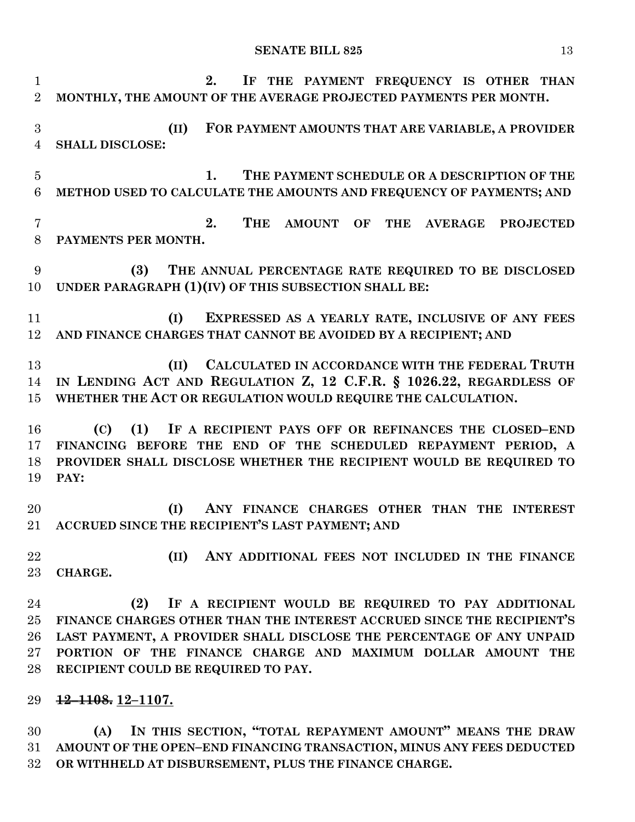**2. IF THE PAYMENT FREQUENCY IS OTHER THAN MONTHLY, THE AMOUNT OF THE AVERAGE PROJECTED PAYMENTS PER MONTH. (II) FOR PAYMENT AMOUNTS THAT ARE VARIABLE, A PROVIDER SHALL DISCLOSE: 1. THE PAYMENT SCHEDULE OR A DESCRIPTION OF THE METHOD USED TO CALCULATE THE AMOUNTS AND FREQUENCY OF PAYMENTS; AND 2. THE AMOUNT OF THE AVERAGE PROJECTED PAYMENTS PER MONTH. (3) THE ANNUAL PERCENTAGE RATE REQUIRED TO BE DISCLOSED UNDER PARAGRAPH (1)(IV) OF THIS SUBSECTION SHALL BE: (I) EXPRESSED AS A YEARLY RATE, INCLUSIVE OF ANY FEES AND FINANCE CHARGES THAT CANNOT BE AVOIDED BY A RECIPIENT; AND (II) CALCULATED IN ACCORDANCE WITH THE FEDERAL TRUTH IN LENDING ACT AND REGULATION Z, 12 C.F.R. § 1026.22, REGARDLESS OF WHETHER THE ACT OR REGULATION WOULD REQUIRE THE CALCULATION. (C) (1) IF A RECIPIENT PAYS OFF OR REFINANCES THE CLOSED–END FINANCING BEFORE THE END OF THE SCHEDULED REPAYMENT PERIOD, A PROVIDER SHALL DISCLOSE WHETHER THE RECIPIENT WOULD BE REQUIRED TO PAY: (I) ANY FINANCE CHARGES OTHER THAN THE INTEREST ACCRUED SINCE THE RECIPIENT'S LAST PAYMENT; AND (II) ANY ADDITIONAL FEES NOT INCLUDED IN THE FINANCE CHARGE. (2) IF A RECIPIENT WOULD BE REQUIRED TO PAY ADDITIONAL FINANCE CHARGES OTHER THAN THE INTEREST ACCRUED SINCE THE RECIPIENT'S LAST PAYMENT, A PROVIDER SHALL DISCLOSE THE PERCENTAGE OF ANY UNPAID PORTION OF THE FINANCE CHARGE AND MAXIMUM DOLLAR AMOUNT THE RECIPIENT COULD BE REQUIRED TO PAY. 12–1108. 12–1107.**

 **(A) IN THIS SECTION, "TOTAL REPAYMENT AMOUNT" MEANS THE DRAW AMOUNT OF THE OPEN–END FINANCING TRANSACTION, MINUS ANY FEES DEDUCTED OR WITHHELD AT DISBURSEMENT, PLUS THE FINANCE CHARGE.**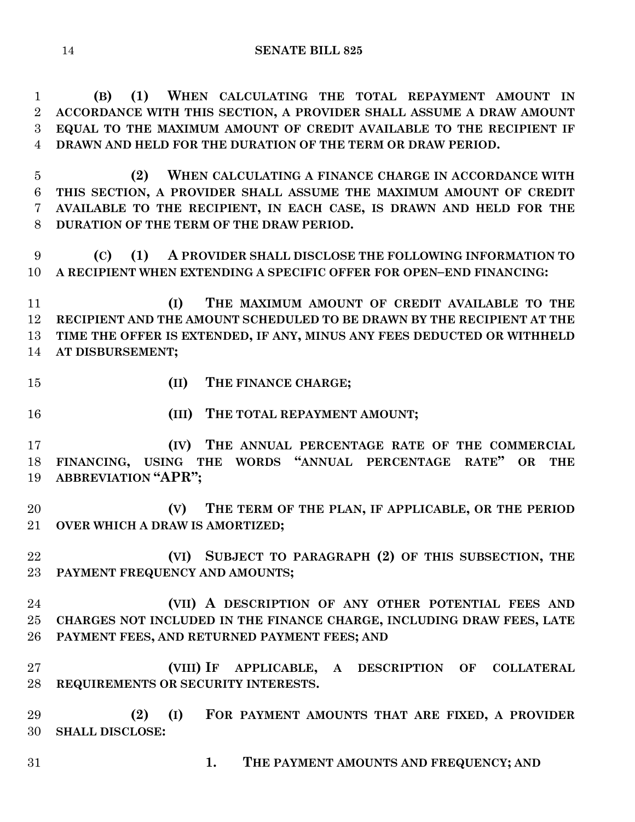**(B) (1) WHEN CALCULATING THE TOTAL REPAYMENT AMOUNT IN ACCORDANCE WITH THIS SECTION, A PROVIDER SHALL ASSUME A DRAW AMOUNT EQUAL TO THE MAXIMUM AMOUNT OF CREDIT AVAILABLE TO THE RECIPIENT IF DRAWN AND HELD FOR THE DURATION OF THE TERM OR DRAW PERIOD.**

 **(2) WHEN CALCULATING A FINANCE CHARGE IN ACCORDANCE WITH THIS SECTION, A PROVIDER SHALL ASSUME THE MAXIMUM AMOUNT OF CREDIT AVAILABLE TO THE RECIPIENT, IN EACH CASE, IS DRAWN AND HELD FOR THE DURATION OF THE TERM OF THE DRAW PERIOD.**

 **(C) (1) A PROVIDER SHALL DISCLOSE THE FOLLOWING INFORMATION TO A RECIPIENT WHEN EXTENDING A SPECIFIC OFFER FOR OPEN–END FINANCING:**

 **(I) THE MAXIMUM AMOUNT OF CREDIT AVAILABLE TO THE RECIPIENT AND THE AMOUNT SCHEDULED TO BE DRAWN BY THE RECIPIENT AT THE TIME THE OFFER IS EXTENDED, IF ANY, MINUS ANY FEES DEDUCTED OR WITHHELD AT DISBURSEMENT;**

- 
- **(II) THE FINANCE CHARGE;**
- 

**(III) THE TOTAL REPAYMENT AMOUNT;**

 **(IV) THE ANNUAL PERCENTAGE RATE OF THE COMMERCIAL FINANCING, USING THE WORDS "ANNUAL PERCENTAGE RATE" OR THE ABBREVIATION "APR";**

 **(V) THE TERM OF THE PLAN, IF APPLICABLE, OR THE PERIOD OVER WHICH A DRAW IS AMORTIZED;**

 **(VI) SUBJECT TO PARAGRAPH (2) OF THIS SUBSECTION, THE PAYMENT FREQUENCY AND AMOUNTS;**

 **(VII) A DESCRIPTION OF ANY OTHER POTENTIAL FEES AND CHARGES NOT INCLUDED IN THE FINANCE CHARGE, INCLUDING DRAW FEES, LATE PAYMENT FEES, AND RETURNED PAYMENT FEES; AND**

 **(VIII) IF APPLICABLE, A DESCRIPTION OF COLLATERAL REQUIREMENTS OR SECURITY INTERESTS.**

 **(2) (I) FOR PAYMENT AMOUNTS THAT ARE FIXED, A PROVIDER SHALL DISCLOSE:**

**1. THE PAYMENT AMOUNTS AND FREQUENCY; AND**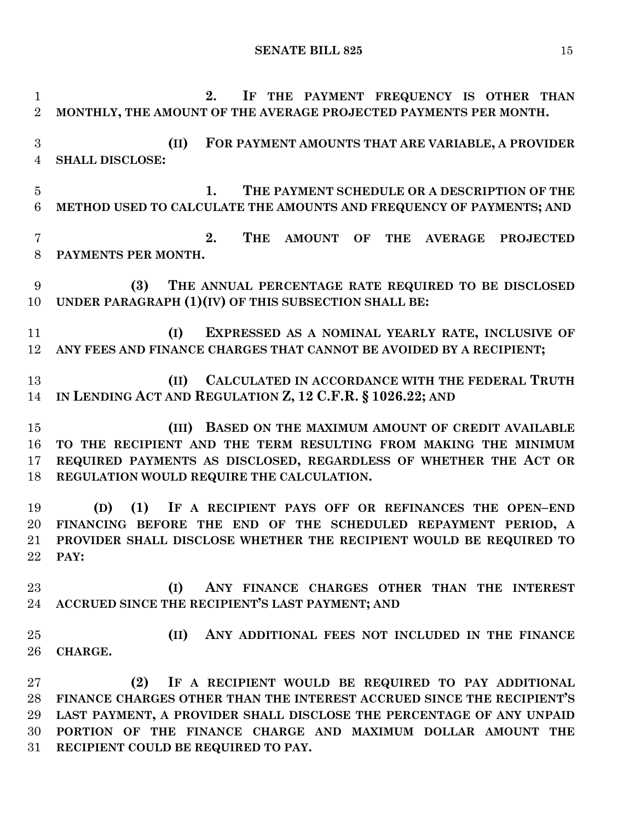**2. IF THE PAYMENT FREQUENCY IS OTHER THAN MONTHLY, THE AMOUNT OF THE AVERAGE PROJECTED PAYMENTS PER MONTH. (II) FOR PAYMENT AMOUNTS THAT ARE VARIABLE, A PROVIDER SHALL DISCLOSE: 1. THE PAYMENT SCHEDULE OR A DESCRIPTION OF THE METHOD USED TO CALCULATE THE AMOUNTS AND FREQUENCY OF PAYMENTS; AND 2. THE AMOUNT OF THE AVERAGE PROJECTED PAYMENTS PER MONTH. (3) THE ANNUAL PERCENTAGE RATE REQUIRED TO BE DISCLOSED UNDER PARAGRAPH (1)(IV) OF THIS SUBSECTION SHALL BE: (I) EXPRESSED AS A NOMINAL YEARLY RATE, INCLUSIVE OF ANY FEES AND FINANCE CHARGES THAT CANNOT BE AVOIDED BY A RECIPIENT; (II) CALCULATED IN ACCORDANCE WITH THE FEDERAL TRUTH IN LENDING ACT AND REGULATION Z, 12 C.F.R. § 1026.22; AND (III) BASED ON THE MAXIMUM AMOUNT OF CREDIT AVAILABLE TO THE RECIPIENT AND THE TERM RESULTING FROM MAKING THE MINIMUM REQUIRED PAYMENTS AS DISCLOSED, REGARDLESS OF WHETHER THE ACT OR REGULATION WOULD REQUIRE THE CALCULATION. (D) (1) IF A RECIPIENT PAYS OFF OR REFINANCES THE OPEN–END FINANCING BEFORE THE END OF THE SCHEDULED REPAYMENT PERIOD, A PROVIDER SHALL DISCLOSE WHETHER THE RECIPIENT WOULD BE REQUIRED TO PAY: (I) ANY FINANCE CHARGES OTHER THAN THE INTEREST ACCRUED SINCE THE RECIPIENT'S LAST PAYMENT; AND (II) ANY ADDITIONAL FEES NOT INCLUDED IN THE FINANCE CHARGE. (2) IF A RECIPIENT WOULD BE REQUIRED TO PAY ADDITIONAL FINANCE CHARGES OTHER THAN THE INTEREST ACCRUED SINCE THE RECIPIENT'S LAST PAYMENT, A PROVIDER SHALL DISCLOSE THE PERCENTAGE OF ANY UNPAID PORTION OF THE FINANCE CHARGE AND MAXIMUM DOLLAR AMOUNT THE RECIPIENT COULD BE REQUIRED TO PAY.**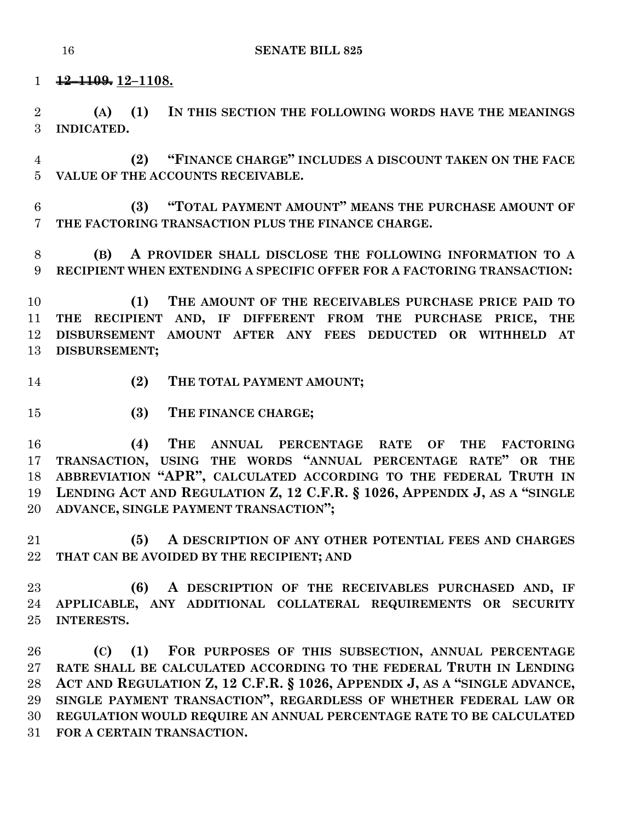**12–1109. 12–1108.**

 **(A) (1) IN THIS SECTION THE FOLLOWING WORDS HAVE THE MEANINGS INDICATED.**

 **(2) "FINANCE CHARGE" INCLUDES A DISCOUNT TAKEN ON THE FACE VALUE OF THE ACCOUNTS RECEIVABLE.**

 **(3) "TOTAL PAYMENT AMOUNT" MEANS THE PURCHASE AMOUNT OF THE FACTORING TRANSACTION PLUS THE FINANCE CHARGE.**

 **(B) A PROVIDER SHALL DISCLOSE THE FOLLOWING INFORMATION TO A RECIPIENT WHEN EXTENDING A SPECIFIC OFFER FOR A FACTORING TRANSACTION:**

 **(1) THE AMOUNT OF THE RECEIVABLES PURCHASE PRICE PAID TO THE RECIPIENT AND, IF DIFFERENT FROM THE PURCHASE PRICE, THE DISBURSEMENT AMOUNT AFTER ANY FEES DEDUCTED OR WITHHELD AT DISBURSEMENT;**

- **(2) THE TOTAL PAYMENT AMOUNT;**
- **(3) THE FINANCE CHARGE;**

 **(4) THE ANNUAL PERCENTAGE RATE OF THE FACTORING TRANSACTION, USING THE WORDS "ANNUAL PERCENTAGE RATE" OR THE ABBREVIATION "APR", CALCULATED ACCORDING TO THE FEDERAL TRUTH IN LENDING ACT AND REGULATION Z, 12 C.F.R. § 1026, APPENDIX J, AS A "SINGLE ADVANCE, SINGLE PAYMENT TRANSACTION";**

 **(5) A DESCRIPTION OF ANY OTHER POTENTIAL FEES AND CHARGES THAT CAN BE AVOIDED BY THE RECIPIENT; AND** 

 **(6) A DESCRIPTION OF THE RECEIVABLES PURCHASED AND, IF APPLICABLE, ANY ADDITIONAL COLLATERAL REQUIREMENTS OR SECURITY INTERESTS.**

 **(C) (1) FOR PURPOSES OF THIS SUBSECTION, ANNUAL PERCENTAGE RATE SHALL BE CALCULATED ACCORDING TO THE FEDERAL TRUTH IN LENDING ACT AND REGULATION Z, 12 C.F.R. § 1026, APPENDIX J, AS A "SINGLE ADVANCE, SINGLE PAYMENT TRANSACTION", REGARDLESS OF WHETHER FEDERAL LAW OR REGULATION WOULD REQUIRE AN ANNUAL PERCENTAGE RATE TO BE CALCULATED FOR A CERTAIN TRANSACTION.**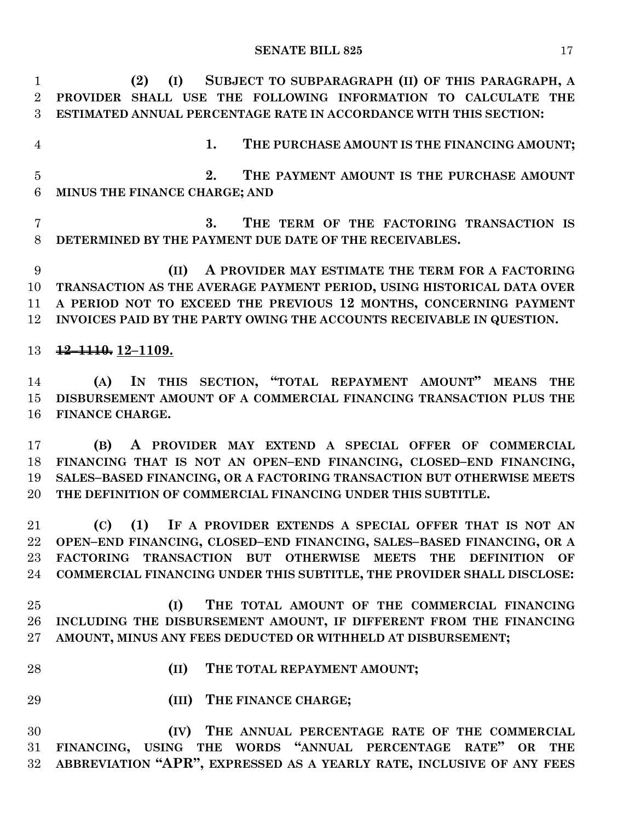**(2) (I) SUBJECT TO SUBPARAGRAPH (II) OF THIS PARAGRAPH, A PROVIDER SHALL USE THE FOLLOWING INFORMATION TO CALCULATE THE ESTIMATED ANNUAL PERCENTAGE RATE IN ACCORDANCE WITH THIS SECTION: 1. THE PURCHASE AMOUNT IS THE FINANCING AMOUNT; 2. THE PAYMENT AMOUNT IS THE PURCHASE AMOUNT MINUS THE FINANCE CHARGE; AND 3. THE TERM OF THE FACTORING TRANSACTION IS DETERMINED BY THE PAYMENT DUE DATE OF THE RECEIVABLES. (II) A PROVIDER MAY ESTIMATE THE TERM FOR A FACTORING TRANSACTION AS THE AVERAGE PAYMENT PERIOD, USING HISTORICAL DATA OVER A PERIOD NOT TO EXCEED THE PREVIOUS 12 MONTHS, CONCERNING PAYMENT INVOICES PAID BY THE PARTY OWING THE ACCOUNTS RECEIVABLE IN QUESTION. 12–1110. 12–1109. (A) IN THIS SECTION, "TOTAL REPAYMENT AMOUNT" MEANS THE DISBURSEMENT AMOUNT OF A COMMERCIAL FINANCING TRANSACTION PLUS THE FINANCE CHARGE. (B) A PROVIDER MAY EXTEND A SPECIAL OFFER OF COMMERCIAL FINANCING THAT IS NOT AN OPEN–END FINANCING, CLOSED–END FINANCING, SALES–BASED FINANCING, OR A FACTORING TRANSACTION BUT OTHERWISE MEETS THE DEFINITION OF COMMERCIAL FINANCING UNDER THIS SUBTITLE. (C) (1) IF A PROVIDER EXTENDS A SPECIAL OFFER THAT IS NOT AN OPEN–END FINANCING, CLOSED–END FINANCING, SALES–BASED FINANCING, OR A FACTORING TRANSACTION BUT OTHERWISE MEETS THE DEFINITION OF COMMERCIAL FINANCING UNDER THIS SUBTITLE, THE PROVIDER SHALL DISCLOSE: (I) THE TOTAL AMOUNT OF THE COMMERCIAL FINANCING INCLUDING THE DISBURSEMENT AMOUNT, IF DIFFERENT FROM THE FINANCING AMOUNT, MINUS ANY FEES DEDUCTED OR WITHHELD AT DISBURSEMENT; (II) THE TOTAL REPAYMENT AMOUNT; (III) THE FINANCE CHARGE; (IV) THE ANNUAL PERCENTAGE RATE OF THE COMMERCIAL FINANCING, USING THE WORDS "ANNUAL PERCENTAGE RATE" OR THE ABBREVIATION "APR", EXPRESSED AS A YEARLY RATE, INCLUSIVE OF ANY FEES**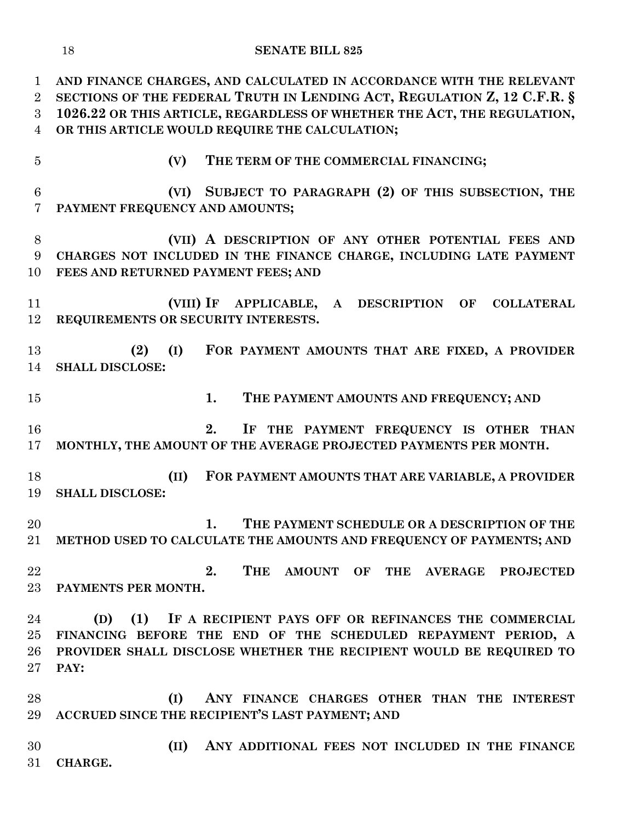**AND FINANCE CHARGES, AND CALCULATED IN ACCORDANCE WITH THE RELEVANT SECTIONS OF THE FEDERAL TRUTH IN LENDING ACT, REGULATION Z, 12 C.F.R. § 1026.22 OR THIS ARTICLE, REGARDLESS OF WHETHER THE ACT, THE REGULATION, OR THIS ARTICLE WOULD REQUIRE THE CALCULATION;**

- 
- **(V) THE TERM OF THE COMMERCIAL FINANCING;**

 **(VI) SUBJECT TO PARAGRAPH (2) OF THIS SUBSECTION, THE PAYMENT FREQUENCY AND AMOUNTS;**

 **(VII) A DESCRIPTION OF ANY OTHER POTENTIAL FEES AND CHARGES NOT INCLUDED IN THE FINANCE CHARGE, INCLUDING LATE PAYMENT FEES AND RETURNED PAYMENT FEES; AND**

 **(VIII) IF APPLICABLE, A DESCRIPTION OF COLLATERAL REQUIREMENTS OR SECURITY INTERESTS.**

 **(2) (I) FOR PAYMENT AMOUNTS THAT ARE FIXED, A PROVIDER SHALL DISCLOSE:**

**1. THE PAYMENT AMOUNTS AND FREQUENCY; AND**

 **2. IF THE PAYMENT FREQUENCY IS OTHER THAN MONTHLY, THE AMOUNT OF THE AVERAGE PROJECTED PAYMENTS PER MONTH.**

 **(II) FOR PAYMENT AMOUNTS THAT ARE VARIABLE, A PROVIDER SHALL DISCLOSE:**

 **1. THE PAYMENT SCHEDULE OR A DESCRIPTION OF THE METHOD USED TO CALCULATE THE AMOUNTS AND FREQUENCY OF PAYMENTS; AND**

 **2. THE AMOUNT OF THE AVERAGE PROJECTED PAYMENTS PER MONTH.**

 **(D) (1) IF A RECIPIENT PAYS OFF OR REFINANCES THE COMMERCIAL FINANCING BEFORE THE END OF THE SCHEDULED REPAYMENT PERIOD, A PROVIDER SHALL DISCLOSE WHETHER THE RECIPIENT WOULD BE REQUIRED TO PAY:**

 **(I) ANY FINANCE CHARGES OTHER THAN THE INTEREST ACCRUED SINCE THE RECIPIENT'S LAST PAYMENT; AND**

 **(II) ANY ADDITIONAL FEES NOT INCLUDED IN THE FINANCE CHARGE.**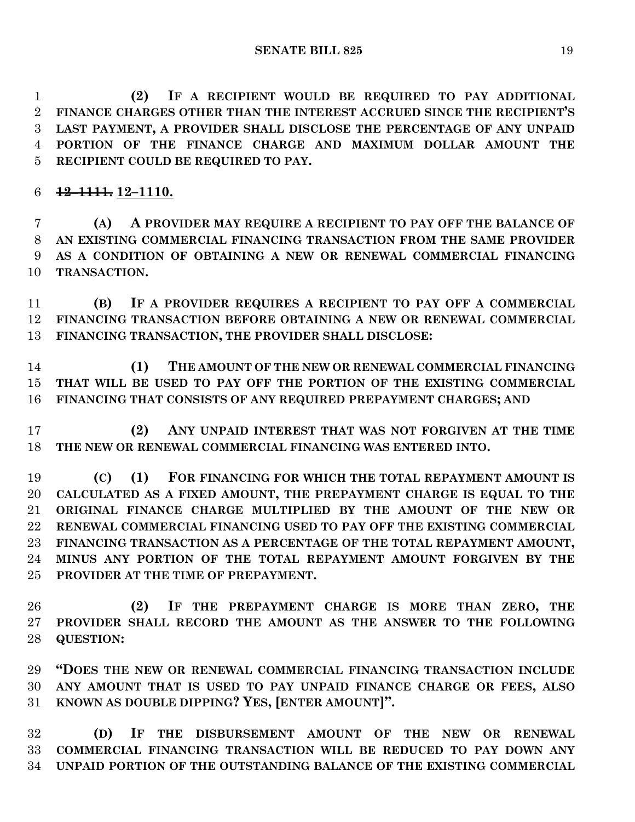**(2) IF A RECIPIENT WOULD BE REQUIRED TO PAY ADDITIONAL FINANCE CHARGES OTHER THAN THE INTEREST ACCRUED SINCE THE RECIPIENT'S LAST PAYMENT, A PROVIDER SHALL DISCLOSE THE PERCENTAGE OF ANY UNPAID PORTION OF THE FINANCE CHARGE AND MAXIMUM DOLLAR AMOUNT THE RECIPIENT COULD BE REQUIRED TO PAY.**

**12–1111. 12–1110.**

 **(A) A PROVIDER MAY REQUIRE A RECIPIENT TO PAY OFF THE BALANCE OF AN EXISTING COMMERCIAL FINANCING TRANSACTION FROM THE SAME PROVIDER AS A CONDITION OF OBTAINING A NEW OR RENEWAL COMMERCIAL FINANCING TRANSACTION.**

 **(B) IF A PROVIDER REQUIRES A RECIPIENT TO PAY OFF A COMMERCIAL FINANCING TRANSACTION BEFORE OBTAINING A NEW OR RENEWAL COMMERCIAL FINANCING TRANSACTION, THE PROVIDER SHALL DISCLOSE:**

 **(1) THE AMOUNT OF THE NEW OR RENEWAL COMMERCIAL FINANCING THAT WILL BE USED TO PAY OFF THE PORTION OF THE EXISTING COMMERCIAL FINANCING THAT CONSISTS OF ANY REQUIRED PREPAYMENT CHARGES; AND**

 **(2) ANY UNPAID INTEREST THAT WAS NOT FORGIVEN AT THE TIME THE NEW OR RENEWAL COMMERCIAL FINANCING WAS ENTERED INTO.**

 **(C) (1) FOR FINANCING FOR WHICH THE TOTAL REPAYMENT AMOUNT IS CALCULATED AS A FIXED AMOUNT, THE PREPAYMENT CHARGE IS EQUAL TO THE ORIGINAL FINANCE CHARGE MULTIPLIED BY THE AMOUNT OF THE NEW OR RENEWAL COMMERCIAL FINANCING USED TO PAY OFF THE EXISTING COMMERCIAL FINANCING TRANSACTION AS A PERCENTAGE OF THE TOTAL REPAYMENT AMOUNT, MINUS ANY PORTION OF THE TOTAL REPAYMENT AMOUNT FORGIVEN BY THE PROVIDER AT THE TIME OF PREPAYMENT.**

 **(2) IF THE PREPAYMENT CHARGE IS MORE THAN ZERO, THE PROVIDER SHALL RECORD THE AMOUNT AS THE ANSWER TO THE FOLLOWING QUESTION:**

 **"DOES THE NEW OR RENEWAL COMMERCIAL FINANCING TRANSACTION INCLUDE ANY AMOUNT THAT IS USED TO PAY UNPAID FINANCE CHARGE OR FEES, ALSO KNOWN AS DOUBLE DIPPING? YES, [ENTER AMOUNT]".**

 **(D) IF THE DISBURSEMENT AMOUNT OF THE NEW OR RENEWAL COMMERCIAL FINANCING TRANSACTION WILL BE REDUCED TO PAY DOWN ANY UNPAID PORTION OF THE OUTSTANDING BALANCE OF THE EXISTING COMMERCIAL**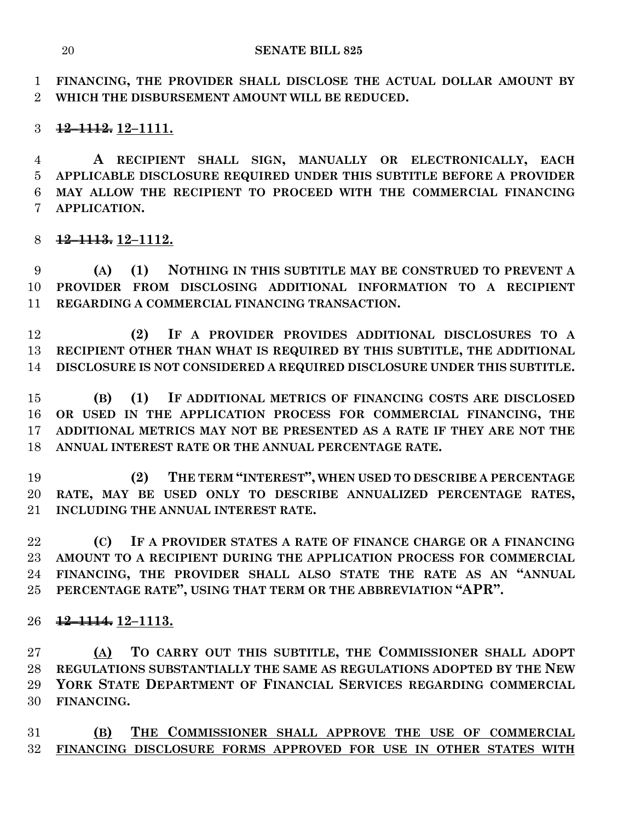**FINANCING, THE PROVIDER SHALL DISCLOSE THE ACTUAL DOLLAR AMOUNT BY WHICH THE DISBURSEMENT AMOUNT WILL BE REDUCED.**

## **12–1112. 12–1111.**

 **A RECIPIENT SHALL SIGN, MANUALLY OR ELECTRONICALLY, EACH APPLICABLE DISCLOSURE REQUIRED UNDER THIS SUBTITLE BEFORE A PROVIDER MAY ALLOW THE RECIPIENT TO PROCEED WITH THE COMMERCIAL FINANCING APPLICATION.**

**12–1113. 12–1112.**

 **(A) (1) NOTHING IN THIS SUBTITLE MAY BE CONSTRUED TO PREVENT A PROVIDER FROM DISCLOSING ADDITIONAL INFORMATION TO A RECIPIENT REGARDING A COMMERCIAL FINANCING TRANSACTION.**

 **(2) IF A PROVIDER PROVIDES ADDITIONAL DISCLOSURES TO A RECIPIENT OTHER THAN WHAT IS REQUIRED BY THIS SUBTITLE, THE ADDITIONAL DISCLOSURE IS NOT CONSIDERED A REQUIRED DISCLOSURE UNDER THIS SUBTITLE.**

 **(B) (1) IF ADDITIONAL METRICS OF FINANCING COSTS ARE DISCLOSED OR USED IN THE APPLICATION PROCESS FOR COMMERCIAL FINANCING, THE ADDITIONAL METRICS MAY NOT BE PRESENTED AS A RATE IF THEY ARE NOT THE ANNUAL INTEREST RATE OR THE ANNUAL PERCENTAGE RATE.**

 **(2) THE TERM "INTEREST", WHEN USED TO DESCRIBE A PERCENTAGE RATE, MAY BE USED ONLY TO DESCRIBE ANNUALIZED PERCENTAGE RATES, INCLUDING THE ANNUAL INTEREST RATE.**

 **(C) IF A PROVIDER STATES A RATE OF FINANCE CHARGE OR A FINANCING AMOUNT TO A RECIPIENT DURING THE APPLICATION PROCESS FOR COMMERCIAL FINANCING, THE PROVIDER SHALL ALSO STATE THE RATE AS AN "ANNUAL PERCENTAGE RATE", USING THAT TERM OR THE ABBREVIATION "APR".**

**12–1114. 12–1113.**

 **(A) TO CARRY OUT THIS SUBTITLE, THE COMMISSIONER SHALL ADOPT REGULATIONS SUBSTANTIALLY THE SAME AS REGULATIONS ADOPTED BY THE NEW YORK STATE DEPARTMENT OF FINANCIAL SERVICES REGARDING COMMERCIAL FINANCING.**

 **(B) THE COMMISSIONER SHALL APPROVE THE USE OF COMMERCIAL FINANCING DISCLOSURE FORMS APPROVED FOR USE IN OTHER STATES WITH**